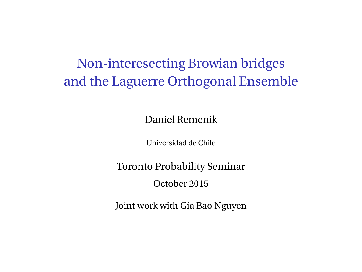# Non-interesecting Browian bridges and the Laguerre Orthogonal Ensemble

Daniel Remenik

Universidad de Chile

Toronto Probability Seminar

October 2015

Joint work with Gia Bao Nguyen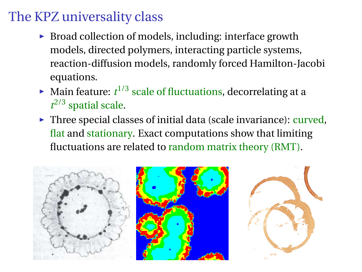# The KPZ universality class

- $\triangleright$  Broad collection of models, including: interface growth models, directed polymers, interacting particle systems, reaction-diffusion models, randomly forced Hamilton-Jacobi equations.
- $\blacktriangleright$  Main feature:  $t^{1/3}$  scale of fluctuations, decorrelating at a  $t^{2/3}$  spatial scale.
- $\triangleright$  Three special classes of initial data (scale invariance): curved, flat and stationary. Exact computations show that limiting fluctuations are related to random matrix theory (RMT).

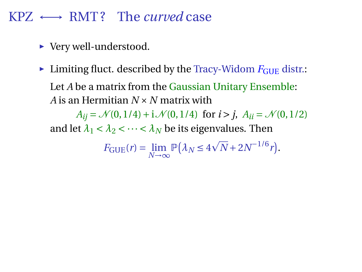## KPZ ←→ RMT ? The *curved* case

- ▶ Very well-understood.
- $\blacktriangleright$  Limiting fluct. described by the Tracy-Widom  $F_{\text{GUE}}$  distr.: Let *A* be a matrix from the Gaussian Unitary Ensemble: *A* is an Hermitian *N* ×*N* matrix with

 $A_{ii} = \mathcal{N}(0, 1/4) + i \mathcal{N}(0, 1/4)$  for  $i > j$ ,  $A_{ii} = \mathcal{N}(0, 1/2)$ and let  $\lambda_1 < \lambda_2 < \cdots < \lambda_N$  be its eigenvalues. Then

$$
F_{\text{GUE}}(r) = \lim_{N \to \infty} \mathbb{P}(\lambda_N \le 4\sqrt{N} + 2N^{-1/6}r).
$$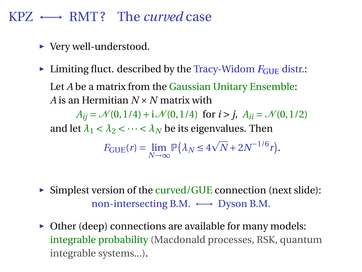### KPZ ←→ RMT ? The *curved* case

- ▶ Very well-understood.
- $\blacktriangleright$  Limiting fluct. described by the Tracy-Widom  $F_{\text{GUE}}$  distr.: Let *A* be a matrix from the Gaussian Unitary Ensemble: *A* is an Hermitian *N* ×*N* matrix with

 $A_{ii} = \mathcal{N}(0, 1/4) + i \mathcal{N}(0, 1/4)$  for  $i > j$ ,  $A_{ii} = \mathcal{N}(0, 1/2)$ and let  $\lambda_1 < \lambda_2 < \cdots < \lambda_N$  be its eigenvalues. Then

$$
F_{\text{GUE}}(r) = \lim_{N \to \infty} \mathbb{P}(\lambda_N \le 4\sqrt{N} + 2N^{-1/6}r).
$$

- $\triangleright$  Simplest version of the curved/GUE connection (next slide): non-intersecting B.M.  $\longleftrightarrow$  Dyson B.M.
- $\triangleright$  Other (deep) connections are available for many models: integrable probability (Macdonald processes, RSK, quantum integrable systems...).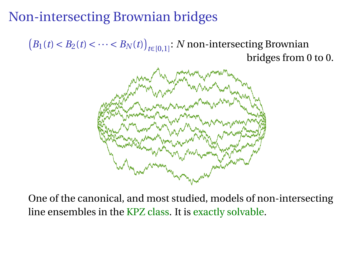# Non-intersecting Brownian bridges

 $(B_1(t) < B_2(t) < \cdots < B_N(t))_{t \in [0,1]}$ : *N* non-intersecting Brownian bridges from 0 to 0.



One of the canonical, and most studied, models of non-intersecting line ensembles in the KPZ class. It is exactly solvable.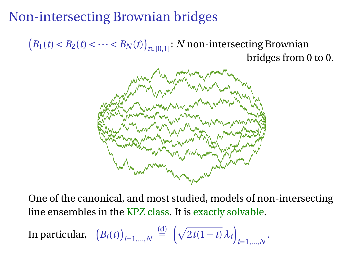# Non-intersecting Brownian bridges

 $(B_1(t) < B_2(t) < \cdots < B_N(t))_{t \in [0,1]}$ : *N* non-intersecting Brownian bridges from 0 to 0.



One of the canonical, and most studied, models of non-intersecting line ensembles in the KPZ class. It is exactly solvable.

In particular, 
$$
(B_i(t))_{i=1,\dots,N} \stackrel{\text{(d)}}{=} \left(\sqrt{2t(1-t)}\lambda_i\right)_{i=1,\dots,N}.
$$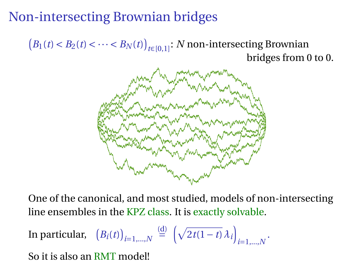# Non-intersecting Brownian bridges

 $(B_1(t) < B_2(t) < \cdots < B_N(t))_{t \in [0,1]}$ : *N* non-intersecting Brownian bridges from 0 to 0.



One of the canonical, and most studied, models of non-intersecting line ensembles in the KPZ class. It is exactly solvable.

In particular, 
$$
(B_i(t))_{i=1,\dots,N} \stackrel{\text{(d)}}{=} \left(\sqrt{2t(1-t)}\lambda_i\right)_{i=1,\dots,N}.
$$

So it is also an RMT model!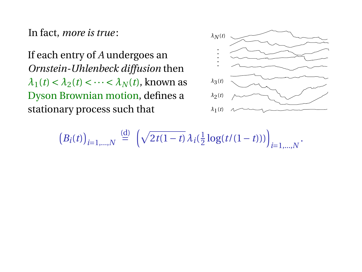In fact, *more is true* :

If each entry of *A* undergoes an *Ornstein-Uhlenbeck diffusion* then  $\lambda_1(t) < \lambda_2(t) < \cdots < \lambda_N(t)$ , known as Dyson Brownian motion, defines a stationary process such that



$$
(B_i(t))_{i=1,\dots,N} \stackrel{\text{(d)}}{=} \left(\sqrt{2t(1-t)}\,\lambda_i(\tfrac{1}{2}\log(t/(1-t)))\right)_{i=1,\dots,N}.
$$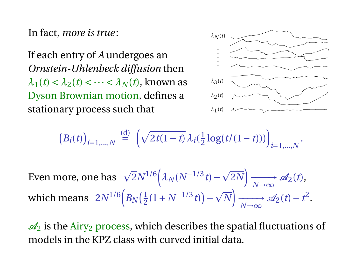In fact, *more is true* :

If each entry of *A* undergoes an *Ornstein-Uhlenbeck diffusion* then  $\lambda_1(t) < \lambda_2(t) < \cdots < \lambda_N(t)$ , known as Dyson Brownian motion, defines a stationary process such that



$$
(B_i(t))_{i=1,\dots,N} \stackrel{\text{(d)}}{=} \left(\sqrt{2t(1-t)}\,\lambda_i(\tfrac{1}{2}\log(t/(1-t)))\right)_{i=1,\dots,N}.
$$

Even more, one has  $\sqrt{2}N^{1/6}(\lambda_N(N^{-1/3}t)-\sqrt{N})$  $\overline{2N}$   $\longrightarrow$  $\longrightarrow$  A<sub>2</sub>(*t*),<br>N→∞ which means  $2N^{1/6} \Big( B_N \Big( \frac{1}{2} \Big)$  $\frac{1}{2}(1+N^{-1/3}t)$  –  $\overline{N}$   $\longrightarrow$  $\longrightarrow \mathcal{A}_2(t) - t^2.$ <br>*N*→∞

 $\mathcal{A}_2$  is the Airy<sub>2</sub> process, which describes the spatial fluctuations of models in the KPZ class with curved initial data.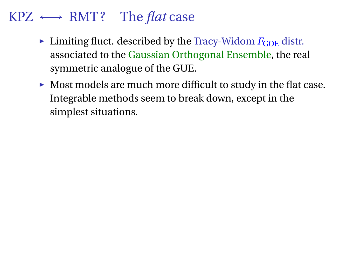## KPZ ←→ RMT ? The *flat* case

- $\blacktriangleright$  Limiting fluct. described by the Tracy-Widom  $F_{\text{GOE}}$  distr. associated to the Gaussian Orthogonal Ensemble, the real symmetric analogue of the GUE.
- $\triangleright$  Most models are much more difficult to study in the flat case. Integrable methods seem to break down, except in the simplest situations.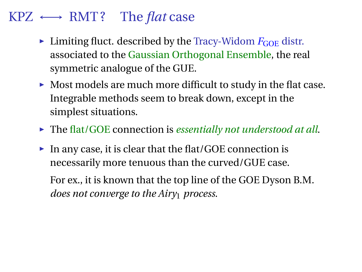## KPZ ←→ RMT ? The *flat* case

- $\blacktriangleright$  Limiting fluct. described by the Tracy-Widom  $F_{\text{GOE}}$  distr. associated to the Gaussian Orthogonal Ensemble, the real symmetric analogue of the GUE.
- $\blacktriangleright$  Most models are much more difficult to study in the flat case. Integrable methods seem to break down, except in the simplest situations.
- ► The flat/GOE connection is *essentially not understood at all*.
- $\blacktriangleright$  In any case, it is clear that the flat/GOE connection is necessarily more tenuous than the curved/GUE case.

For ex., it is known that the top line of the GOE Dyson B.M. *does not converge to the Airy*<sup>1</sup> *process*.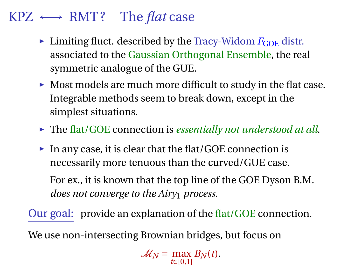## KPZ ←→ RMT ? The *flat* case

- $\blacktriangleright$  Limiting fluct. described by the Tracy-Widom  $F_{\text{GOE}}$  distr. associated to the Gaussian Orthogonal Ensemble, the real symmetric analogue of the GUE.
- $\triangleright$  Most models are much more difficult to study in the flat case. Integrable methods seem to break down, except in the simplest situations.
- ► The flat/GOE connection is *essentially not understood at all*.
- $\blacktriangleright$  In any case, it is clear that the flat/GOE connection is necessarily more tenuous than the curved/GUE case.

For ex., it is known that the top line of the GOE Dyson B.M. *does not converge to the Airy*<sup>1</sup> *process*.

Our goal: provide an explanation of the flat/GOE connection. We use non-intersecting Brownian bridges, but focus on

 $M_N = \max_{t \in [0,1]} B_N(t)$ .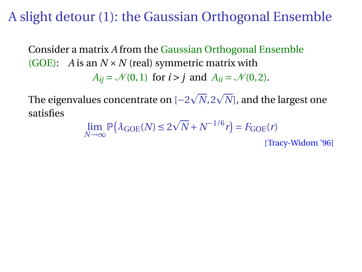A slight detour (1): the Gaussian Orthogonal Ensemble

Consider a matrix *A* from the Gaussian Orthogonal Ensemble (GOE): *A* is an  $N \times N$  (real) symmetric matrix with  $A_{ii} = \mathcal{N}(0, 1)$  for  $i > j$  and  $A_{ii} = \mathcal{N}(0, 2)$ .

The eigenvalues concentrate on [−2  $\sqrt{N}$ ,  $2\sqrt{N}$ , and the largest one satisfies

$$
\lim_{N \to \infty} \mathbb{P}(\lambda_{\text{GOE}}(N) \le 2\sqrt{N} + N^{-1/6}r) = F_{\text{GOE}}(r)
$$
\n[Tracy-Widom '96]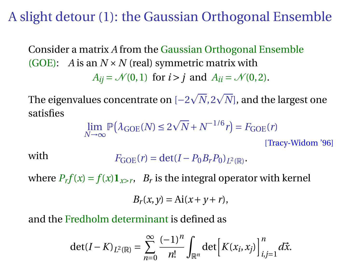A slight detour (1): the Gaussian Orthogonal Ensemble

Consider a matrix *A* from the Gaussian Orthogonal Ensemble (GOE): *A* is an  $N \times N$  (real) symmetric matrix with  $A_{ii} = \mathcal{N}(0, 1)$  for  $i > j$  and  $A_{ii} = \mathcal{N}(0, 2)$ .

The eigenvalues concentrate on [−2  $\sqrt{N}$ ,  $2\sqrt{N}$ , and the largest one satisfies

$$
\lim_{N \to \infty} \mathbb{P}(\lambda_{\text{GOE}}(N) \le 2\sqrt{N} + N^{-1/6}r) = F_{\text{GOE}}(r)
$$

[Tracy-Widom '96]

with  $F_{GOE}(r) = det(I - P_0 B_r P_0)_{L^2(\mathbb{R})}.$ 

where  $P_r f(x) = f(x) \mathbf{1}_{x > r}$ ,  $B_r$  is the integral operator with kernel

$$
B_r(x, y) = \text{Ai}(x + y + r),
$$

and the Fredholm determinant is defined as

$$
\det(I - K)_{L^2(\mathbb{R})} = \sum_{n=0}^{\infty} \frac{(-1)^n}{n!} \int_{\mathbb{R}^n} \det \left[ K(x_i, x_j) \right]_{i,j=1}^n d\vec{x}.
$$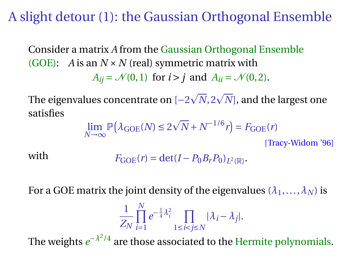A slight detour (1): the Gaussian Orthogonal Ensemble

Consider a matrix *A* from the Gaussian Orthogonal Ensemble (GOE): *A* is an  $N \times N$  (real) symmetric matrix with  $A_{ii} = \mathcal{N}(0, 1)$  for  $i > j$  and  $A_{ii} = \mathcal{N}(0, 2)$ .

The eigenvalues concentrate on [−2  $\sqrt{N}$ ,  $2\sqrt{N}$ , and the largest one satisfies

$$
\lim_{N \to \infty} \mathbb{P}(\lambda_{\text{GOE}}(N) \le 2\sqrt{N} + N^{-1/6}r) = F_{\text{GOE}}(r)
$$
\n[Tracy-Widom '96]

with  $F_{GOE}(r) = det(I - P_0 B_r P_0)_{L^2(\mathbb{R})}.$ 

For a GOE matrix the joint density of the eigenvalues  $(\lambda_1, \ldots, \lambda_N)$  is

$$
\frac{1}{Z_N}\prod_{i=1}^N e^{-\frac{1}{4}\lambda_i^2}\prod_{1\leq i
$$

The weights  $e^{-\lambda^2/4}$  are those associated to the Hermite polynomials.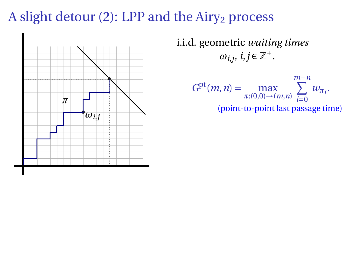## A slight detour (2): LPP and the  $Airy<sub>2</sub>$  process



i.i.d. geometric *waiting times*  $\omega_{i,j}, i, j \in \mathbb{Z}^+$ .

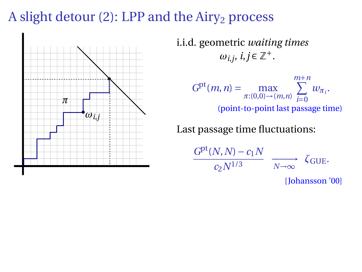# A slight detour (2): LPP and the  $Airy<sub>2</sub>$  process



i.i.d. geometric *waiting times*  $\omega_{i,j}, i, j \in \mathbb{Z}^+$ .



Last passage time fluctuations:

$$
\frac{G^{\text{pt}}(N,N) - c_1 N}{c_2 N^{1/3}} \xrightarrow[N \to \infty]{} \zeta_{\text{GUE}}.
$$
\n[Johansson'00]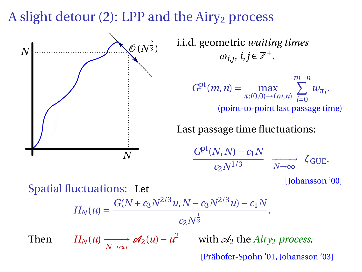A slight detour  $(2)$ : LPP and the Airy<sub>2</sub> process



Then  $H_N(u) \xrightarrow[N \to \infty]{} \mathscr{A}_2(u) - u^2$  with  $\mathscr{A}_2$  the *Airy<sub>2</sub> process*. [Prähofer-Spohn '01, Johansson '03]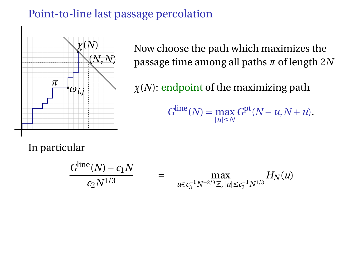### Point-to-line last passage percolation



Now choose the path which maximizes the passage time among all paths *π* of length 2*N*

*χ*(*N*): endpoint of the maximizing path

 $G^{\text{line}}(N) = \max_{|u| \le N} G^{\text{pt}}(N - u, N + u).$ 

In particular

$$
\frac{G^{\text{line}}(N) - c_1 N}{c_2 N^{1/3}} = \max_{u \in c_3^{-1} N^{-2/3} \mathbb{Z}, |u| \le c_3^{-1} N^{1/3}} H_N(u)
$$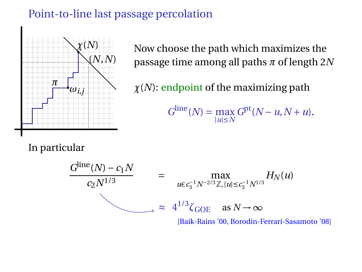#### Point-to-line last passage percolation



Now choose the path which maximizes the passage time among all paths *π* of length 2*N*

*χ*(*N*): endpoint of the maximizing path

 $G^{\text{line}}(N) = \max_{|u| \le N} G^{\text{pt}}(N - u, N + u).$ 

In particular



[Baik-Rains '00, Borodin-Ferrari-Sasamoto '08]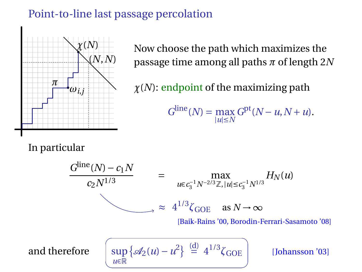### Point-to-line last passage percolation



Now choose the path which maximizes the passage time among all paths *π* of length 2*N*

*χ*(*N*): endpoint of the maximizing path

 $G^{\text{line}}(N) = \max_{|u| \le N} G^{\text{pt}}(N - u, N + u).$ 

In particular

$$
\frac{G^{\text{line}}(N) - c_1 N}{c_2 N^{1/3}} = \max_{u \in c_3^{-1} N^{-2/3} \mathbb{Z}, |u| \le c_3^{-1} N^{1/3}} H_N(u)
$$

$$
\approx 4^{1/3} \zeta_{GOE} \text{ as } N \to \infty
$$

[Baik-Rains '00, Borodin-Ferrari-Sasamoto '08]

and therefore

$$
\left(\sup_{u\in\mathbb{R}}\left\{\mathscr{A}_2(u)-u^2\right\}\right)\stackrel{\text{(d)}}{=} 4^{1/3}\zeta_{\text{GOE}}\right)
$$

1/3*ζ*GOE [Johansson '03]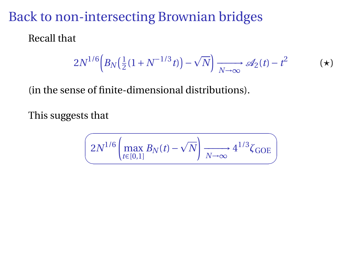## Back to non-intersecting Brownian bridges

Recall that

<span id="page-21-0"></span>
$$
2N^{1/6}\Big(B_N\big(\tfrac{1}{2}(1+N^{-1/3}t)\big)-\sqrt{N}\Big)\xrightarrow[N\to\infty]{}\mathscr{A}_2(t)-t^2\hspace{1cm}(\star)
$$

(in the sense of finite-dimensional distributions).

This suggests that

$$
\left(2N^{1/6}\left(\max_{t\in[0,1]}B_N(t)-\sqrt{N}\right)\xrightarrow[N\to\infty]{}4^{1/3}\zeta_{\text{GOE}}\right)
$$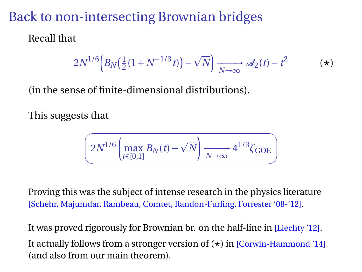## Back to non-intersecting Brownian bridges

Recall that

$$
2N^{1/6}\Big(B_N\big(\tfrac{1}{2}(1+N^{-1/3}t)\big)-\sqrt{N}\Big)\xrightarrow[N\to\infty]{}\mathscr{A}_2(t)-t^2\hspace{1cm}(\star)
$$

(in the sense of finite-dimensional distributions).

This suggests that

$$
\left(2N^{1/6}\left(\max_{t\in[0,1]}B_N(t)-\sqrt{N}\right)\xrightarrow[N\to\infty]{}4^{1/3}\zeta_{\text{GOE}}\right)
$$

Proving this was the subject of intense research in the physics literature [Schehr, Majumdar, Rambeau, Comtet, Randon-Furling, Forrester '08-'12].

It was proved rigorously for Brownian br. on the half-line in [Liechty '12]. It actually follows from a stronger version of  $(\star)$  in [Corwin-Hammond '14] (and also from our main theorem).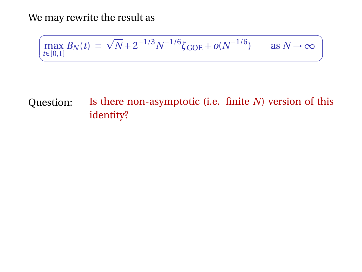We may rewrite the result as

$$
\left(\max_{t \in [0,1]} B_N(t) = \sqrt{N} + 2^{-1/3} N^{-1/6} \zeta_{\text{GOE}} + o(N^{-1/6}) \quad \text{as } N \to \infty \right)
$$

✟

### Question: Is there non-asymptotic (i.e. finite *N*) version of this identity?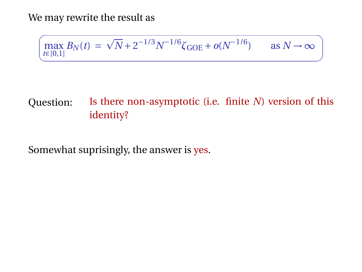We may rewrite the result as

$$
\left(\max_{t \in [0,1]} B_N(t) = \sqrt{N} + 2^{-1/3} N^{-1/6} \zeta_{\text{GOE}} + o(N^{-1/6}) \quad \text{as } N \to \infty \right)
$$

✟

### Question: Is there non-asymptotic (i.e. finite *N*) version of this identity?

Somewhat suprisingly, the answer is yes.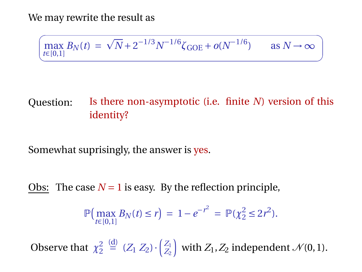We may rewrite the result as

$$
\left(\max_{t \in [0,1]} B_N(t) = \sqrt{N} + 2^{-1/3} N^{-1/6} \zeta_{\text{GOE}} + o(N^{-1/6}) \quad \text{as } N \to \infty \right)
$$

✟

### Question: Is there non-asymptotic (i.e. finite *N*) version of this identity?

Somewhat suprisingly, the answer is yes.

Obs: The case  $N = 1$  is easy. By the reflection principle,

$$
\mathbb{P}\left(\max_{t\in[0,1]}B_N(t)\leq r\right) = 1 - e^{-r^2} = \mathbb{P}(\chi_2^2 \leq 2r^2).
$$

Observe that  $\chi^2$ <sup>2</sup>  $\stackrel{\text{(d)}}{=} (Z_1 \, Z_2) \cdot \begin{pmatrix} Z_1 \\ Z_2 \end{pmatrix}$  with  $Z_1, Z_2$  independent  $\mathcal{N}(0, 1)$ .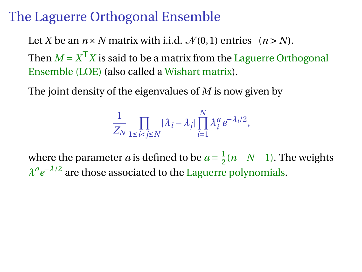## The Laguerre Orthogonal Ensemble

Let *X* be an  $n \times N$  matrix with i.i.d.  $\mathcal{N}(0, 1)$  entries  $(n > N)$ . Then  $M = X^{\mathsf{T}} X$  is said to be a matrix from the Laguerre Orthogonal Ensemble (LOE) (also called a Wishart matrix).

The joint density of the eigenvalues of *M* is now given by

$$
\frac{1}{Z_N} \prod_{1 \le i < j \le N} |\lambda_i - \lambda_j| \prod_{i=1}^N \lambda_i^a e^{-\lambda_i/2},
$$

where the parameter *a* is defined to be  $a = \frac{1}{2}$  $\frac{1}{2}(n-N-1)$ . The weights *λ a e* <sup>−</sup>*λ*/2 are those associated to the Laguerre polynomials.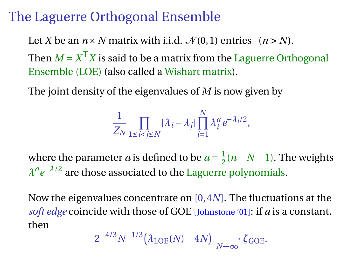## The Laguerre Orthogonal Ensemble

Let *X* be an  $n \times N$  matrix with i.i.d.  $\mathcal{N}(0, 1)$  entries  $(n > N)$ . Then  $M = X^{\mathsf{T}} X$  is said to be a matrix from the Laguerre Orthogonal Ensemble (LOE) (also called a Wishart matrix).

The joint density of the eigenvalues of *M* is now given by

$$
\frac{1}{Z_N} \prod_{1 \le i < j \le N} |\lambda_i - \lambda_j| \prod_{i=1}^N \lambda_i^a e^{-\lambda_i/2},
$$

where the parameter *a* is defined to be  $a = \frac{1}{2}$  $\frac{1}{2}(n-N-1)$ . The weights *λ a e* <sup>−</sup>*λ*/2 are those associated to the Laguerre polynomials.

Now the eigenvalues concentrate on [0, 4*N*]. The fluctuations at the *soft edge* coincide with those of GOE [Johnstone '01]: if *a* is a constant, then

$$
2^{-4/3}N^{-1/3}(\lambda_{\text{LOE}}(N)-4N)\xrightarrow[N\to\infty]{} \zeta_{\text{GOE}}.
$$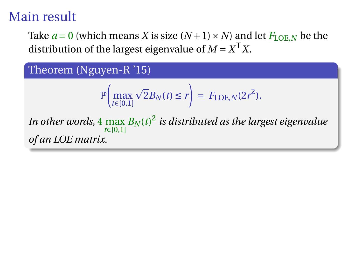# Main result

Take  $a = 0$  (which means *X* is size  $(N + 1) \times N$ ) and let  $F_{\text{LOE},N}$  be the distribution of the largest eigenvalue of  $M = X^{\mathsf{T}} X$ .

Theorem (Nguyen-R '15)

$$
\mathbb{P}\left(\max_{t\in[0,1]}\sqrt{2}B_N(t)\leq r\right)=F_{\text{LOE},N}(2r^2).
$$

In other words,  $4\max\limits_{t\in[0,1]}B_N(t)^2$  is distributed as the largest eigenvalue *of an LOE matrix.*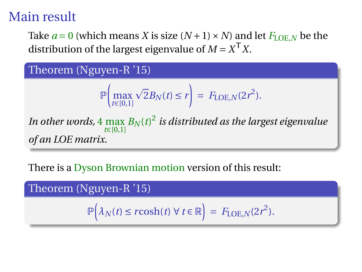# Main result

Take  $a = 0$  (which means *X* is size  $(N + 1) \times N$ ) and let  $F_{\text{LOE},N}$  be the distribution of the largest eigenvalue of  $M = X^{\mathsf{T}} X$ .

Theorem (Nguyen-R '15)

$$
\mathbb{P}\left(\max_{t\in[0,1]}\sqrt{2}B_N(t)\leq r\right)=F_{\text{LOE},N}(2r^2).
$$

In other words,  $4\max\limits_{t\in[0,1]}B_N(t)^2$  is distributed as the largest eigenvalue *of an LOE matrix.*

There is a Dyson Brownian motion version of this result:

Theorem (Nguyen-R '15)  $\mathbb{P}\left(\lambda_N(t) \leq r \cosh(t) \; \forall \; t \in \mathbb{R}\right) = F_{\text{LOE},N}(2r^2).$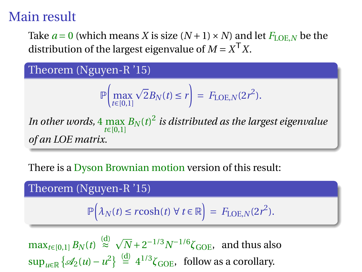# Main result

Take  $a = 0$  (which means *X* is size  $(N + 1) \times N$ ) and let  $F_{\text{LOE},N}$  be the distribution of the largest eigenvalue of  $M = X^{\mathsf{T}} X$ .

Theorem (Nguyen-R '15)

$$
\mathbb{P}\left(\max_{t\in[0,1]}\sqrt{2}B_N(t)\leq r\right)=F_{\text{LOE},N}(2r^2).
$$

In other words,  $4\max\limits_{t\in[0,1]}B_N(t)^2$  is distributed as the largest eigenvalue *of an LOE matrix.*

There is a Dyson Brownian motion version of this result:

Theorem (Nguyen-R '15)

$$
\mathbb{P}\Big(\lambda_N(t) \le r \cosh(t) \ \forall \ t \in \mathbb{R}\Big) = F_{\text{LOE},N}(2r^2).
$$

 $\max_{t \in [0,1]} B_N(t) \stackrel{\text{(d)}}{\approx}$  $\sqrt{N}$  + 2<sup>-1/3</sup> $N$ <sup>-1/6</sup> $\zeta$ <sub>GOE</sub>, and thus also  $\sup_{u \in \mathbb{R}} \{ \mathcal{A}_2(u) - u^2 \} \stackrel{\text{(d)}}{=} 4^{1/3} \zeta_{\text{GOE}}$ , follow as a corollary.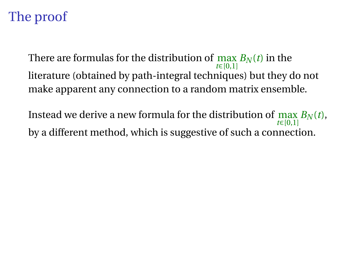# The proof

There are formulas for the distribution of  $\max_{t \in [0,1]} B_N(t)$  in the literature (obtained by path-integral techniques) but they do not make apparent any connection to a random matrix ensemble.

Instead we derive a new formula for the distribution of  $\max_{t\in [0,1]} B_N(t)$ , *t*∈[0,1] by a different method, which is suggestive of such a connection.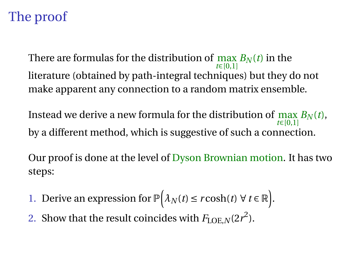# The proof

There are formulas for the distribution of  $\max_{t \in [0,1]} B_N(t)$  in the literature (obtained by path-integral techniques) but they do not make apparent any connection to a random matrix ensemble.

Instead we derive a new formula for the distribution of  $\max_{t\in [0,1]} B_N(t)$ , *t*∈[0,1] by a different method, which is suggestive of such a connection.

Our proof is done at the level of Dyson Brownian motion. It has two steps:

- 1. Derive an expression for  $\mathbb{P}(\lambda_N(t) \leq r \cosh(t) \ \forall \ t \in \mathbb{R})$ .
- 2. Show that the result coincides with  $F_{\text{LOE},N}(2r^2)$ .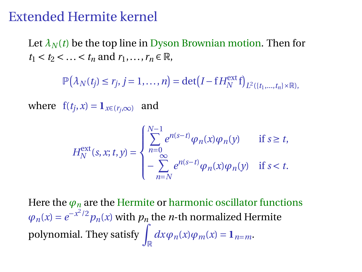### Extended Hermite kernel

Let  $\lambda_N(t)$  be the top line in Dyson Brownian motion. Then for  $t_1 < t_2 < ... < t_n$  and  $r_1, ..., r_n \in \mathbb{R}$ ,

 $\mathbb{P}(\lambda_N(t_j) \leq r_j, j = 1, \ldots, n) = \det(I - f H_N^{\text{ext}} f)_{L^2(\lbrace t_1, \ldots, t_n \rbrace \times \mathbb{R}),}$ 

where  $f(t_j, x) = \mathbf{1}_{x \in (r_j, \infty)}$  and

$$
H_N^{\text{ext}}(s, x; t, y) = \begin{cases} \sum_{n=0}^{N-1} e^{n(s-t)} \varphi_n(x) \varphi_n(y) & \text{if } s \ge t, \\ -\sum_{n=N}^{\infty} e^{n(s-t)} \varphi_n(x) \varphi_n(y) & \text{if } s < t. \end{cases}
$$

Here the  $\varphi_n$  are the Hermite or harmonic oscillator functions  $\varphi_n(x) = e^{-x^2/2} p_n(x)$  with  $p_n$  the *n*-th normalized Hermite polynomial. They satisfy  $\int_{\mathbb{R}} dx \varphi_n(x) \varphi_m(x) = \mathbf{1}_{n=m}$ .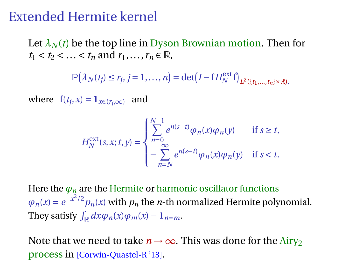### Extended Hermite kernel

Let  $\lambda_N(t)$  be the top line in Dyson Brownian motion. Then for  $t_1 < t_2 < ... < t_n$  and  $r_1, ..., r_n \in \mathbb{R}$ ,

 $\mathbb{P}(\lambda_N(t_j) \leq r_j, j = 1, \ldots, n) = \det(I - f H_N^{\text{ext}} f)_{L^2(\lbrace t_1, \ldots, t_n \rbrace \times \mathbb{R}),}$ 

where  $f(t_j, x) = \mathbf{1}_{x \in (r_j, \infty)}$  and

$$
H_N^{\text{ext}}(s, x; t, y) = \begin{cases} \sum_{n=0}^{N-1} e^{n(s-t)} \varphi_n(x) \varphi_n(y) & \text{if } s \ge t, \\ -\sum_{n=N}^{\infty} e^{n(s-t)} \varphi_n(x) \varphi_n(y) & \text{if } s < t. \end{cases}
$$

Here the  $\varphi_n$  are the Hermite or harmonic oscillator functions  $\varphi_n(x) = e^{-x^2/2} p_n(x)$  with  $p_n$  the *n*-th normalized Hermite polynomial. They satisfy  $\int_{\mathbb{R}} dx \varphi_n(x) \varphi_m(x) = \mathbf{1}_{n=m}$ .

Note that we need to take  $n \to \infty$ . This was done for the Airy<sub>2</sub> process in [Corwin-Quastel-R '13].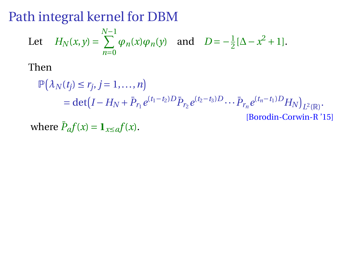# Path integral kernel for DBM

Let 
$$
H_N(x, y) = \sum_{n=0}^{N-1} \varphi_n(x) \varphi_n(y)
$$
 and  $D = -\frac{1}{2} [\Delta - x^2 + 1].$ 

Then

$$
\mathbb{P}(\lambda_N(t_j) \le r_j, j = 1, ..., n)
$$
  
= det  $(I - H_N + \bar{P}_{r_1} e^{(t_1 - t_2)D} \bar{P}_{r_2} e^{(t_2 - t_3)D} \cdots \bar{P}_{r_n} e^{(t_n - t_1)D} H_N)_{L^2(\mathbb{R})}$ .  
[Borodin-Corwin-R'15]

where  $\bar{P}_a f(x) = \mathbf{1}_{x \le a} f(x)$ .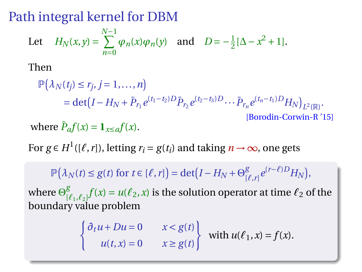Path integral kernel for DBM

Let 
$$
H_N(x, y) = \sum_{n=0}^{N-1} \varphi_n(x) \varphi_n(y)
$$
 and  $D = -\frac{1}{2} [\Delta - x^2 + 1].$ 

Then

$$
\mathbb{P}(\lambda_N(t_j) \le r_j, j = 1, ..., n) \n= det(I - H_N + \bar{P}_{r_1} e^{(t_1 - t_2)D} \bar{P}_{r_2} e^{(t_2 - t_3)D} ... \bar{P}_{r_n} e^{(t_n - t_1)D} H_N)_{L^2(\mathbb{R})}.
$$
\n[Borodin-Corwin-R'15]

where  $\bar{P}_a f(x) = \mathbf{1}_{x \le a} f(x)$ .

For  $g \in H^1([\ell, r])$ , letting  $r_i = g(t_i)$  and taking  $n \to \infty$ , one gets

 $\mathbb{P}(\lambda_N(t) \leq g(t) \text{ for } t \in [\ell, r]) = \det(I - H_N + \Theta_0^g$  $\int_{[l],r]}^{g} e^{(r-l)D} H_N$ 

where  $\Theta_0^g$  $\int_{[\ell_1,\ell_2]}^g f(x) = u(\ell_2,x)$  is the solution operator at time  $\ell_2$  of the boundary value problem

$$
\begin{cases} \partial_t u + Du = 0 & x < g(t) \\ u(t, x) = 0 & x \ge g(t) \end{cases}
$$
 with  $u(\ell_1, x) = f(x)$ .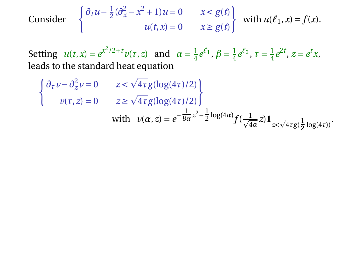Consider 
$$
\begin{cases} \partial_t u - \frac{1}{2} (\partial_x^2 - x^2 + 1) u = 0 & x < g(t) \\ u(t, x) = 0 & x \ge g(t) \end{cases}
$$
 with  $u(\ell_1, x) = f(x)$ .

Setting  $u(t, x) = e^{x^2/2 + t} v(\tau, z)$  and  $\alpha = \frac{1}{4} e^{\ell_1}, \beta = \frac{1}{4} e^{\ell_2}, \tau = \frac{1}{4} e^{2t}, z = e^t x$ , leads to the standard heat equation

$$
\begin{cases} \partial_{\tau} v - \partial_{z}^{2} v = 0 & z < \sqrt{4\tau} g(\log(4\tau)/2) \\ v(\tau, z) = 0 & z \ge \sqrt{4\tau} g(\log(4\tau)/2) \end{cases}
$$
  
with  $v(\alpha, z) = e^{-\frac{1}{8\alpha}z^{2} - \frac{1}{2}\log(4\alpha)} f(\frac{1}{\sqrt{4\alpha}}z) \mathbf{1}_{z < \sqrt{4\tau}g(\frac{1}{2}\log(4\tau))}$ .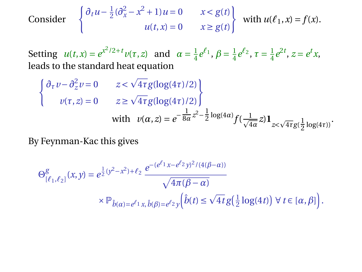Consider 
$$
\begin{cases} \partial_t u - \frac{1}{2} (\partial_x^2 - x^2 + 1) u = 0 & x < g(t) \\ u(t, x) = 0 & x \ge g(t) \end{cases}
$$
 with  $u(\ell_1, x) = f(x)$ .

Setting  $u(t, x) = e^{x^2/2 + t} v(\tau, z)$  and  $\alpha = \frac{1}{4} e^{\ell_1}, \beta = \frac{1}{4} e^{\ell_2}, \tau = \frac{1}{4} e^{2t}, z = e^t x$ , leads to the standard heat equation

$$
\begin{cases} \partial_{\tau} v - \partial_{z}^{2} v = 0 & z < \sqrt{4\tau} g(\log(4\tau)/2) \\ v(\tau, z) = 0 & z \ge \sqrt{4\tau} g(\log(4\tau)/2) \end{cases}
$$
  
with  $v(\alpha, z) = e^{-\frac{1}{8\alpha}z^{2} - \frac{1}{2}\log(4\alpha)} f(\frac{1}{\sqrt{4\alpha}}z) \mathbf{1}_{z < \sqrt{4\tau}g(\frac{1}{2}\log(4\tau))}$ .

By Feynman-Kac this gives

$$
\Theta^g_{[\ell_1,\ell_2]}(x,y) = e^{\frac{1}{2}(y^2 - x^2) + \ell_2} \frac{e^{-(e^{\ell_1}x - e^{\ell_2}y)^2/(4(\beta - \alpha))}}{\sqrt{4\pi(\beta - \alpha)}}
$$

$$
\times \mathbb{P}_{\hat{b}(\alpha) = e^{\ell_1}x, \hat{b}(\beta) = e^{\ell_2}y} \left(\hat{b}(t) \le \sqrt{4t}g\left(\frac{1}{2}\log(4t)\right) \forall t \in [\alpha, \beta]\right).
$$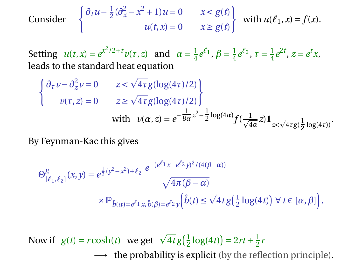Consider 
$$
\begin{cases} \partial_t u - \frac{1}{2} (\partial_x^2 - x^2 + 1) u = 0 & x < g(t) \\ u(t, x) = 0 & x \ge g(t) \end{cases}
$$
 with  $u(\ell_1, x) = f(x)$ .

Setting  $u(t, x) = e^{x^2/2 + t} v(\tau, z)$  and  $\alpha = \frac{1}{4} e^{\ell_1}, \beta = \frac{1}{4} e^{\ell_2}, \tau = \frac{1}{4} e^{2t}, z = e^t x$ , leads to the standard heat equation

$$
\begin{cases} \partial_{\tau} v - \partial_{z}^{2} v = 0 & z < \sqrt{4\tau} g(\log(4\tau)/2) \\ v(\tau, z) = 0 & z \ge \sqrt{4\tau} g(\log(4\tau)/2) \end{cases}
$$
  
with  $v(\alpha, z) = e^{-\frac{1}{8\alpha}z^{2} - \frac{1}{2}\log(4\alpha)} f(\frac{1}{\sqrt{4\alpha}}z) \mathbf{1}_{z < \sqrt{4\tau}g(\frac{1}{2}\log(4\tau))}$ .

By Feynman-Kac this gives

$$
\Theta_{[\ell_1,\ell_2]}^{g}(x,y) = e^{\frac{1}{2}(y^2 - x^2) + \ell_2} \frac{e^{-(e^{\ell_1}x - e^{\ell_2}y)^2/(4(\beta - \alpha))}}{\sqrt{4\pi(\beta - \alpha)}}
$$

$$
\times \mathbb{P}_{\hat{b}(\alpha) = e^{\ell_1}x, \hat{b}(\beta) = e^{\ell_2}y} \left(\hat{b}(t) \le \sqrt{4t}g\left(\frac{1}{2}\log(4t)\right) \forall t \in [\alpha, \beta]\right).
$$

Now if  $g(t) = r \cosh(t)$  we get  $\sqrt{4t} g(\frac{1}{2} \log(4t)) = 2rt + \frac{1}{2}rt$  $\rightarrow$  the probability is explicit (by the reflection principle).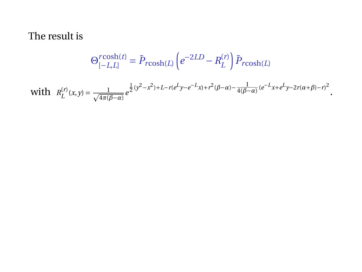$$
\Theta_{[-L,L]}^{\text{rcosh}(t)} = \bar{P}_{\text{rcosh}(L)} \left( e^{-2LD} - R_L^{(r)} \right) \bar{P}_{\text{rcosh}(L)}
$$

with  $R_L^{(r)}(x,y) = \frac{1}{\sqrt{4\pi(\beta-\alpha)}}e^{\frac{1}{2}(y^2-x^2)+L-r(e^Ly-e^{-L}x)+r^2(\beta-\alpha)-\frac{1}{4(\beta-\alpha)}}(e^{-L}x+e^Ly-2r(\alpha+\beta)-r)^2}.$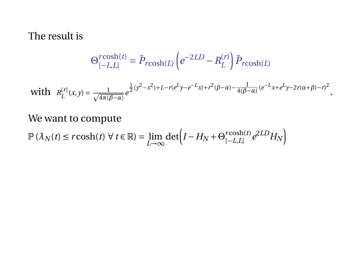$$
\Theta_{[-L,L]}^{r\cosh(t)} = \bar{P}_{r\cosh(L)} \left( e^{-2LD} - R_L^{(r)} \right) \bar{P}_{r\cosh(L)}
$$

$$
\text{with}\ \ \, R_L^{(r)}(x,y) = \tfrac{1}{\sqrt{4\pi(\beta-\alpha)}}\,e^{\tfrac{1}{2}(y^2-x^2) + L - r(e^L y - e^{-L} x) + r^2(\beta-\alpha) - \tfrac{1}{4(\beta-\alpha)}(e^{-L} x + e^L y - 2r(\alpha+\beta)-r)^2}.
$$

We want to compute

$$
\mathbb{P}\left(\lambda_N(t) \le r \cosh(t) \,\forall \, t \in \mathbb{R}\right) = \lim_{L \to \infty} \det \left(I - H_N + \Theta_{[-L,L]}^{r \cosh(t)} e^{2LD} H_N\right)
$$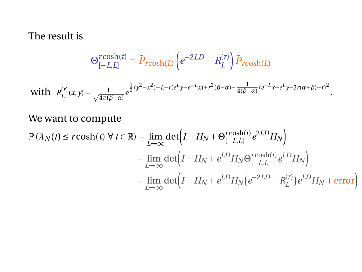$$
\Theta_{[-L,L]}^{r\cosh(t)} = \bar{P}_{r\cosh(L)} \left( e^{-2LD} - R_L^{(r)} \right) \bar{P}_{r\cosh(L)}
$$

with 
$$
R_L^{(r)}(x,y) = \frac{1}{\sqrt{4\pi(\beta-\alpha)}}e^{\frac{1}{2}(y^2-x^2)+L-r(e^Ly-e^{-L}x)+r^2(\beta-\alpha)-\frac{1}{4(\beta-\alpha)}}(e^{-L}x+e^Lv-2r(\alpha+\beta)-r)^2}.
$$

We want to compute

$$
\mathbb{P}(\lambda_N(t) \le r \cosh(t) \ \forall \ t \in \mathbb{R}) = \lim_{L \to \infty} \det \Big( I - H_N + \Theta_{[-L, L]}^{r \cosh(t)} e^{2LD} H_N \Big)
$$

$$
= \lim_{L \to \infty} \det \Big( I - H_N + e^{LD} H_N \Theta_{[-L, L]}^{r \cosh(t)} e^{LD} H_N \Big)
$$

$$
= \lim_{L \to \infty} \det \Big( I - H_N + e^{LD} H_N \Big( e^{-2LD} - R_L^{(r)} \Big) e^{LD} H_N + \text{error} \Big)
$$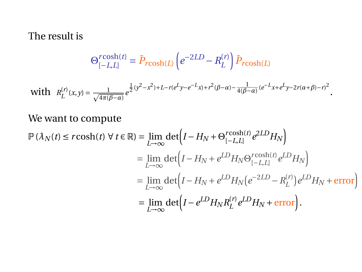$$
\Theta_{[-L,L]}^{r\cosh(t)} = \bar{P}_{r\cosh(L)} \left( e^{-2LD} - R_L^{(r)} \right) \bar{P}_{r\cosh(L)}
$$

with 
$$
R_L^{(r)}(x,y) = \frac{1}{\sqrt{4\pi(\beta-\alpha)}}e^{\frac{1}{2}(y^2-x^2)+L-r(e^Ly-e^{-L}x)+r^2(\beta-\alpha)-\frac{1}{4(\beta-\alpha)}}(e^{-L}x+e^Lv-2r(\alpha+\beta)-r)^2}.
$$

We want to compute

$$
\mathbb{P}(\lambda_N(t) \le r \cosh(t) \ \forall \ t \in \mathbb{R}) = \lim_{L \to \infty} \det \Big( I - H_N + \Theta_{[-L, L]}^{r \cosh(t)} e^{2LD} H_N \Big)
$$
\n
$$
= \lim_{L \to \infty} \det \Big( I - H_N + e^{LD} H_N \Theta_{[-L, L]}^{r \cosh(t)} e^{LD} H_N \Big)
$$
\n
$$
= \lim_{L \to \infty} \det \Big( I - H_N + e^{LD} H_N \Big( e^{-2LD} - R_L^{(r)} \Big) e^{LD} H_N + \text{error} \Big)
$$
\n
$$
= \lim_{L \to \infty} \det \Big( I - e^{LD} H_N R_L^{(r)} e^{LD} H_N + \text{error} \Big).
$$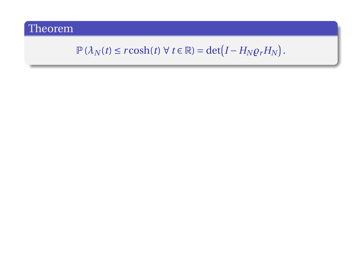## $\mathbb{P}(\lambda_N(t) \leq r \cosh(t) \ \forall \ t \in \mathbb{R}) = \det(I - H_N \varrho_r H_N).$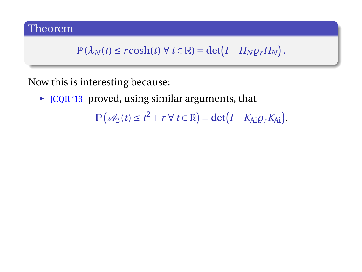$$
\mathbb{P}\left(\lambda_N(t) \leq r \cosh(t) \ \forall \ t \in \mathbb{R}\right) = \det\left(I - H_N \varrho_r H_N\right).
$$

Now this is interesting because:

 $\triangleright$  [CQR '13] proved, using similar arguments, that

 $\mathbb{P}\left(\mathcal{A}_2(t) \leq t^2 + r \,\forall \, t \in \mathbb{R}\right) = \det(I - K_{Ai}\varrho_r K_{Ai}).$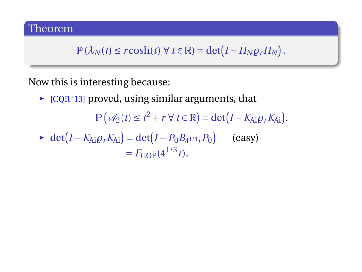$$
\mathbb{P}\left(\lambda_N(t) \leq r \cosh(t) \,\,\forall \,\, t \in \mathbb{R}\right) = \det\left(I - H_N \varrho_r H_N\right).
$$

Now this is interesting because:

 $\triangleright$  [CQR '13] proved, using similar arguments, that

 $\mathbb{P}\left(\mathcal{A}_2(t) \leq t^2 + r \,\forall \, t \in \mathbb{R}\right) = \det(I - K_{Ai}\varrho_r K_{Ai}).$ 

$$
\blacktriangleright \det(I - K_{Ai}\rho_r K_{Ai}) = \det(I - P_0 B_{4^{1/3}r} P_0) \qquad \text{(easy)}= F_{GOE}(4^{1/3}r).
$$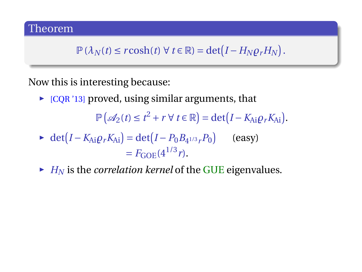$$
\mathbb{P}\left(\lambda_N(t) \leq r \cosh(t) \,\forall \, t \in \mathbb{R}\right) = \det\left(I - H_N \varrho_r H_N\right).
$$

Now this is interesting because:

 $\triangleright$  [CQR '13] proved, using similar arguments, that

 $\mathbb{P}\left(\mathcal{A}_2(t) \leq t^2 + r \,\forall \, t \in \mathbb{R}\right) = \det(I - K_{Ai}\varrho_r K_{Ai}).$ 

• 
$$
\det(I - K_{Ai}\rho_r K_{Ai}) = \det(I - P_0 B_{4^{1/3}r} P_0)
$$
 (easy)  
=  $F_{GOE}(4^{1/3}r)$ .

 $\blacktriangleright$  *H<sub>N</sub>* is the *correlation kernel* of the GUE eigenvalues.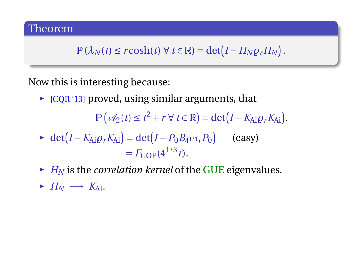$$
\mathbb{P}\left(\lambda_N(t) \leq r \cosh(t) \,\forall \, t \in \mathbb{R}\right) = \det\left(I - H_N \varrho_r H_N\right).
$$

Now this is interesting because:

 $\triangleright$  [CQR '13] proved, using similar arguments, that

 $\mathbb{P}\left(\mathcal{A}_2(t) \leq t^2 + r \,\forall \, t \in \mathbb{R}\right) = \det(I - K_{Ai}\varrho_r K_{Ai}).$ 

- $\blacktriangleright$  det( $I K_{Ai} \rho_r K_{Ai}$ ) = det( $I P_0 B_{4^{1/3}r} P_0$ ) (easy)  $= F_{\rm COE}(4^{1/3}r)$ .
- $\blacktriangleright$  *H<sub>N</sub>* is the *correlation kernel* of the GUE eigenvalues.
- $\triangleright$  *H<sub>N</sub>* → *K*<sub>Ai</sub>.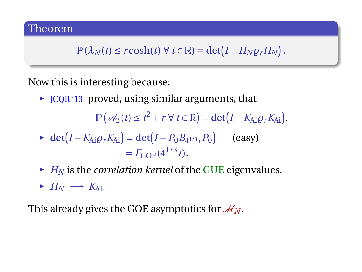$$
\mathbb{P}\left(\lambda_N(t) \leq r \cosh(t) \,\forall \, t \in \mathbb{R}\right) = \det\left(I - H_N \varrho_r H_N\right).
$$

Now this is interesting because:

 $\triangleright$  [CQR '13] proved, using similar arguments, that

 $\mathbb{P}\left(\mathcal{A}_2(t) \leq t^2 + r \,\forall \, t \in \mathbb{R}\right) = \det(I - K_{Ai}\varrho_r K_{Ai}).$ 

• 
$$
\det(I - K_{Ai}\rho_r K_{Ai}) = \det(I - P_0 B_{4^{1/3}r} P_0)
$$
 (easy)  
=  $F_{GOE}(4^{1/3}r)$ .

- $\blacktriangleright$  *H<sub>N</sub>* is the *correlation kernel* of the GUE eigenvalues.
- $\blacktriangleright$  *H<sub>N</sub>*  $\longrightarrow$  *K*<sub>Ai</sub>.

This already gives the GOE asymptotics for  $\mathcal{M}_N$ .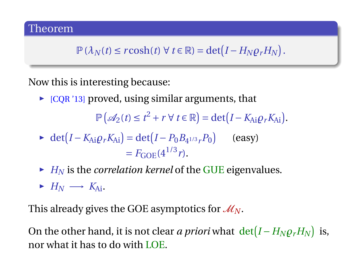$$
\mathbb{P}\left(\lambda_N(t) \leq r \cosh(t) \,\forall \, t \in \mathbb{R}\right) = \det\left(I - H_N \varrho_r H_N\right).
$$

Now this is interesting because:

 $\triangleright$  [CQR '13] proved, using similar arguments, that

 $\mathbb{P}\left(\mathcal{A}_2(t) \leq t^2 + r \,\forall \, t \in \mathbb{R}\right) = \det(I - K_{Ai}\varrho_r K_{Ai}).$ 

• 
$$
\det(I - K_{Ai}\rho_r K_{Ai}) = \det(I - P_0 B_{4^{1/3}r} P_0)
$$
 (easy)  
=  $F_{GOE}(4^{1/3}r)$ .

- $\blacktriangleright$  *H<sub>N</sub>* is the *correlation kernel* of the GUE eigenvalues.
- $\blacktriangleright$  *H<sub>N</sub>*  $\longrightarrow$  *K*<sub>Ai</sub>.

This already gives the GOE asymptotics for  $\mathcal{M}_N$ .

On the other hand, it is not clear *a priori* what  $det(I - H_N \rho_r H_N)$  is, nor what it has to do with LOE.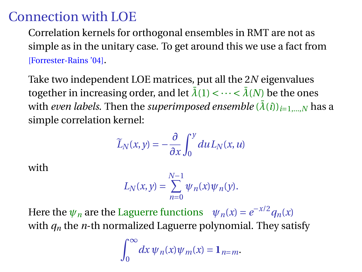## Connection with LOE

Correlation kernels for orthogonal ensembles in RMT are not as simple as in the unitary case. To get around this we use a fact from [Forrester-Rains '04].

Take two independent LOE matrices, put all the 2*N* eigenvalues together in increasing order, and let  $\bar{\lambda}(1) < \cdots < \bar{\lambda}(N)$  be the ones with *even labels*. Then the *superimposed ensemble*  $(\bar{\lambda}(i))_{i=1,\dots,N}$  has a simple correlation kernel:

$$
\widetilde{L}_N(x,y)=-\frac{\partial}{\partial x}\int_0^y du L_N(x,u)
$$

with

$$
L_N(x,y)=\sum_{n=0}^{N-1}\psi_n(x)\psi_n(y).
$$

Here the  $\psi_n$  are the Laguerre functions  $\psi_n(x) = e^{-x/2} q_n(x)$ with  $q_n$  the *n*-th normalized Laguerre polynomial. They satisfy

$$
\int_0^\infty dx \, \psi_n(x) \psi_m(x) = 1_{n=m}.
$$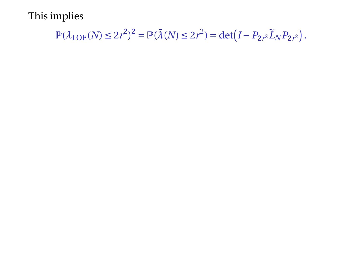$$
\mathbb{P}(\lambda_{\text{LOE}}(N) \le 2r^2)^2 = \mathbb{P}(\bar{\lambda}(N) \le 2r^2) = \det(I - P_{2r^2}\tilde{L}_N P_{2r^2}).
$$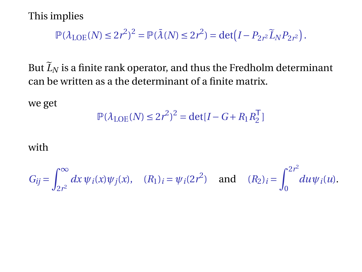$$
\mathbb{P}(\lambda_{\text{LOE}}(N) \le 2r^2)^2 = \mathbb{P}(\bar{\lambda}(N) \le 2r^2) = \det(I - P_{2r^2}\tilde{L}_N P_{2r^2}).
$$

But  $\widetilde{L}_N$  is a finite rank operator, and thus the Fredholm determinant can be written as a the determinant of a finite matrix.

we get

$$
\mathbb{P}(\lambda_{\text{LOE}}(N) \le 2r^2)^2 = \det[I - G + R_1 R_2^{\mathsf{T}}]
$$

#### with

$$
G_{ij} = \int_{2r^2}^{\infty} dx \, \psi_i(x) \psi_j(x), \quad (R_1)_i = \psi_i(2r^2) \quad \text{and} \quad (R_2)_i = \int_0^{2r^2} du \psi_i(u).
$$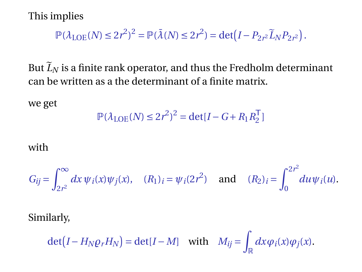$$
\mathbb{P}(\lambda_{\text{LOE}}(N) \le 2r^2)^2 = \mathbb{P}(\bar{\lambda}(N) \le 2r^2) = \det(I - P_{2r^2}\tilde{L}_N P_{2r^2}).
$$

But  $\widetilde{L}_N$  is a finite rank operator, and thus the Fredholm determinant can be written as a the determinant of a finite matrix.

we get

$$
\mathbb{P}(\lambda_{\text{LOE}}(N) \le 2r^2)^2 = \det[I - G + R_1 R_2^{\mathsf{T}}]
$$

#### with

$$
G_{ij} = \int_{2r^2}^{\infty} dx \, \psi_i(x) \psi_j(x), \quad (R_1)_i = \psi_i(2r^2) \quad \text{and} \quad (R_2)_i = \int_0^{2r^2} du \psi_i(u).
$$

Similarly,

$$
\det(I - H_N \rho_r H_N) = \det(I - M) \quad \text{with} \quad M_{ij} = \int_{\mathbb{R}} dx \varphi_i(x) \varphi_j(x).
$$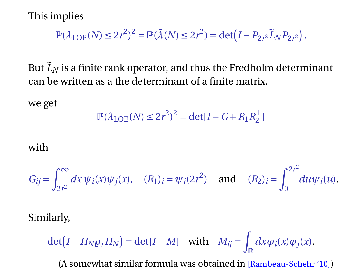$$
\mathbb{P}(\lambda_{\text{LOE}}(N) \le 2r^2)^2 = \mathbb{P}(\bar{\lambda}(N) \le 2r^2) = \det(I - P_{2r^2}\tilde{L}_N P_{2r^2}).
$$

But  $\widetilde{L}_N$  is a finite rank operator, and thus the Fredholm determinant can be written as a the determinant of a finite matrix.

we get

$$
\mathbb{P}(\lambda_{\text{LOE}}(N) \le 2r^2)^2 = \det[I - G + R_1 R_2^{\mathsf{T}}]
$$

#### with

$$
G_{ij} = \int_{2r^2}^{\infty} dx \, \psi_i(x) \psi_j(x), \quad (R_1)_i = \psi_i(2r^2) \quad \text{and} \quad (R_2)_i = \int_0^{2r^2} du \psi_i(u).
$$

Similarly,

$$
\det(I - H_N \rho_r H_N) = \det(I - M) \quad \text{with} \quad M_{ij} = \int_{\mathbb{R}} dx \varphi_i(x) \varphi_j(x).
$$

(A somewhat similar formula was obtained in [Rambeau-Schehr '10])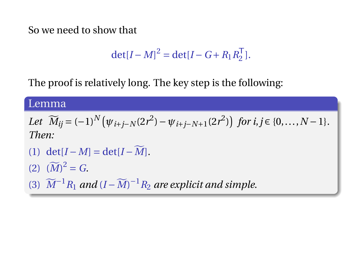So we need to show that

$$
\det[I - M]^2 = \det[I - G + R_1 R_2^T].
$$

The proof is relatively long. The key step is the following:

#### Lemma

Let 
$$
\widetilde{M}_{ij} = (-1)^N (\psi_{i+j-N}(2r^2) - \psi_{i+j-N+1}(2r^2))
$$
 for  $i, j \in \{0, ..., N-1\}$ .  
\nThen:  
\n(1) det[ $I - M$ ] = det[ $I - \widetilde{M}$ ].

- (2)  $({\widetilde{M}})^2 = G.$
- (3)  $\widetilde{M}^{-1}R_1$  *and*  $(I \widetilde{M})^{-1}R_2$  *are explicit and simple.*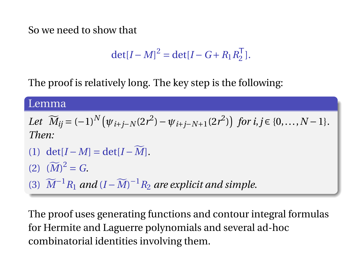So we need to show that

$$
\det[I - M]^2 = \det[I - G + R_1 R_2^{\mathsf{T}}].
$$

The proof is relatively long. The key step is the following:

#### Lemma

Let 
$$
\widetilde{M}_{ij} = (-1)^N (\psi_{i+j-N}(2r^2) - \psi_{i+j-N+1}(2r^2))
$$
 for  $i, j \in \{0, ..., N-1\}$ .  
\nThen:  
\n(1) det[ $I - M$ ] = det[ $I - \widetilde{M}$ ].  
\n(2)  $(\widetilde{M})^2 = G$ .  
\n(3)  $\widetilde{M}^{-1}R_1$  and  $(I - \widetilde{M})^{-1}R_2$  are explicit and simple.

The proof uses generating functions and contour integral formulas for Hermite and Laguerre polynomials and several ad-hoc combinatorial identities involving them.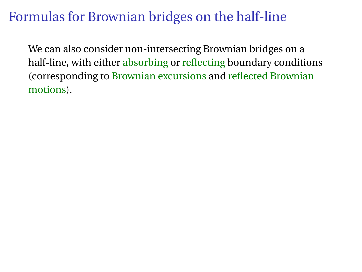# Formulas for Brownian bridges on the half-line

We can also consider non-intersecting Brownian bridges on a half-line, with either absorbing or reflecting boundary conditions (corresponding to Brownian excursions and reflected Brownian motions).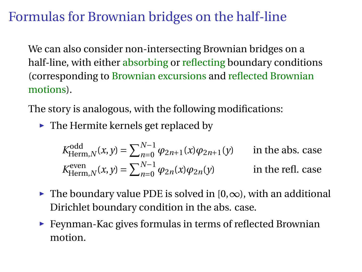# Formulas for Brownian bridges on the half-line

We can also consider non-intersecting Brownian bridges on a half-line, with either absorbing or reflecting boundary conditions (corresponding to Brownian excursions and reflected Brownian motions).

The story is analogous, with the following modifications:

 $\blacktriangleright$  The Hermite kernels get replaced by

$$
K_{\text{Herm},N}^{\text{odd}}(x, y) = \sum_{n=0}^{N-1} \varphi_{2n+1}(x) \varphi_{2n+1}(y) \qquad \text{in the abs. case}
$$
  

$$
K_{\text{Herm},N}^{\text{even}}(x, y) = \sum_{n=0}^{N-1} \varphi_{2n}(x) \varphi_{2n}(y) \qquad \text{in the refl. case}
$$

- $\triangleright$  The boundary value PDE is solved in [0,∞), with an additional Dirichlet boundary condition in the abs. case.
- $\blacktriangleright$  Feynman-Kac gives formulas in terms of reflected Brownian motion.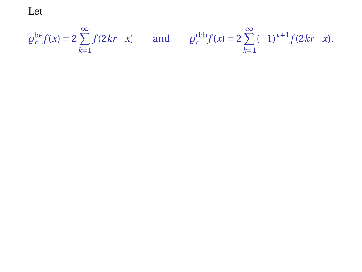Let

$$
\rho_r^{\text{be}} f(x) = 2 \sum_{k=1}^{\infty} f(2kr - x) \qquad \text{and} \qquad \rho_r^{\text{rbb}} f(x) = 2 \sum_{k=1}^{\infty} (-1)^{k+1} f(2kr - x).
$$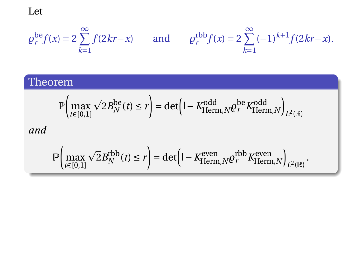Let

$$
\rho_r^{\text{be}} f(x) = 2 \sum_{k=1}^{\infty} f(2kr - x) \qquad \text{and} \qquad \rho_r^{\text{rbb}} f(x) = 2 \sum_{k=1}^{\infty} (-1)^{k+1} f(2kr - x).
$$

### Theorem

$$
\mathbb{P}\left(\max_{t\in[0,1]}\sqrt{2}B_N^{\text{be}}(t)\leq r\right)=\det\left(\mathsf{I}-K^{\text{odd}}_{\text{Herm},N} \varrho_r^{\text{be}}K^{\text{odd}}_{\text{Herm},N}\right)_{L^2(\mathbb{R})}
$$
  
and  

$$
\mathbb{P}\left(\max_{t\in[0,1]}\sqrt{2}B_N^{\text{rbb}}(t)\leq r\right)=\det\left(\mathsf{I}-K^{\text{even}}_{\text{Herm},N} \varrho_r^{\text{rbb}}K^{\text{even}}_{\text{Herm},N}\right)_{L^2(\mathbb{R})}.
$$